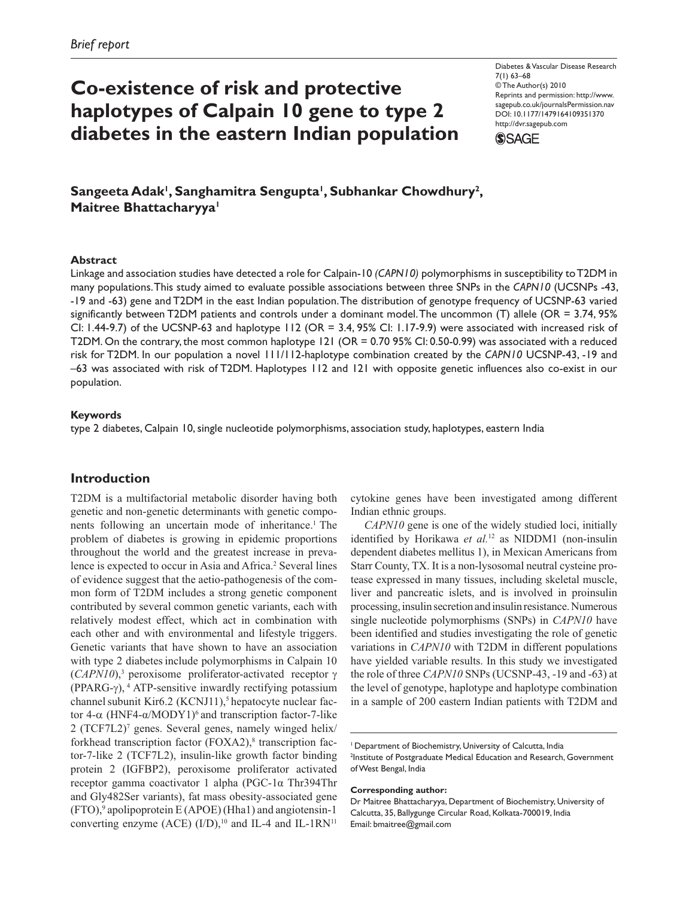# **Co-existence of risk and protective haplotypes of Calpain 10 gene to type 2 diabetes in the eastern Indian population**

Diabetes & Vascular Disease Research 7(1) 63–68 © The Author(s) 2010 Reprints and permission: http://www. sagepub.co.uk/journalsPermission.nav DOI: 10.1177/1479164109351370 http://dvr.sagepub.com



Sangeeta Adak<sup>i</sup>, Sanghamitra Sengupta<sup>i</sup>, Subhankar Chowdhury<sup>2</sup>, **Maitree Bhattacharyya'** 

## **Abstract**

Linkage and association studies have detected a role for Calpain-10 *(CAPN10)* polymorphisms in susceptibility to T2DM in many populations. This study aimed to evaluate possible associations between three SNPs in the *CAPN10* (UCSNPs -43, -19 and -63) gene and T2DM in the east Indian population. The distribution of genotype frequency of UCSNP-63 varied significantly between T2DM patients and controls under a dominant model. The uncommon (T) allele (OR = 3.74, 95% CI: 1.44-9.7) of the UCSNP-63 and haplotype 112 (OR = 3.4, 95% CI: 1.17-9.9) were associated with increased risk of T2DM. On the contrary, the most common haplotype 121 (OR = 0.70 95% CI: 0.50-0.99) was associated with a reduced risk for T2DM. In our population a novel 111/112-haplotype combination created by the *CAPN10* UCSNP-43, -19 and –63 was associated with risk of T2DM. Haplotypes 112 and 121 with opposite genetic influences also co-exist in our population.

### **Keywords**

type 2 diabetes, Calpain 10, single nucleotide polymorphisms, association study, haplotypes, eastern India

# **Introduction**

T2DM is a multifactorial metabolic disorder having both genetic and non-genetic determinants with genetic components following an uncertain mode of inheritance.<sup>1</sup> The problem of diabetes is growing in epidemic proportions throughout the world and the greatest increase in prevalence is expected to occur in Asia and Africa.<sup>2</sup> Several lines of evidence suggest that the aetio-pathogenesis of the common form of T2DM includes a strong genetic component contributed by several common genetic variants, each with relatively modest effect, which act in combination with each other and with environmental and lifestyle triggers. Genetic variants that have shown to have an association with type 2 diabetes include polymorphisms in Calpain 10 (*CAPN10*),3 peroxisome proliferator-activated receptor γ (PPARG- $\gamma$ ), <sup>4</sup> ATP-sensitive inwardly rectifying potassium channel subunit Kir6.2 (KCNJ11),<sup>5</sup> hepatocyte nuclear factor 4-α (HNF4-α/MODY1)<sup>6</sup> and transcription factor-7-like 2 (TCF7L2)7 genes. Several genes, namely winged helix/ forkhead transcription factor (FOXA2),<sup>8</sup> transcription factor-7-like 2 (TCF7L2), insulin-like growth factor binding protein 2 (IGFBP2), peroxisome proliferator activated receptor gamma coactivator 1 alpha (PGC-1α Thr394Thr and Gly482Ser variants), fat mass obesity-associated gene (FTO),9 apolipoprotein E (APOE) (Hha1) and angiotensin-1 converting enzyme (ACE)  $(I/D)$ ,<sup>10</sup> and IL-4 and IL-1RN<sup>11</sup>

cytokine genes have been investigated among different Indian ethnic groups.

*CAPN10* gene is one of the widely studied loci, initially identified by Horikawa *et al.*12 as NIDDM1 (non-insulin dependent diabetes mellitus 1), in Mexican Americans from Starr County, TX. It is a non-lysosomal neutral cysteine protease expressed in many tissues, including skeletal muscle, liver and pancreatic islets, and is involved in proinsulin processing, insulin secretion and insulin resistance. Numerous single nucleotide polymorphisms (SNPs) in *CAPN10* have been identified and studies investigating the role of genetic variations in *CAPN10* with T2DM in different populations have yielded variable results. In this study we investigated the role of three *CAPN10* SNPs (UCSNP-43, -19 and -63) at the level of genotype, haplotype and haplotype combination in a sample of 200 eastern Indian patients with T2DM and

#### **Corresponding author:**

<sup>&</sup>lt;sup>1</sup> Department of Biochemistry, University of Calcutta, India <sup>2</sup>Institute of Postgraduate Medical Education and Research, Government of West Bengal, India

Dr Maitree Bhattacharyya, Department of Biochemistry, University of Calcutta, 35, Ballygunge Circular Road, Kolkata-700019, India Email: bmaitree@gmail.com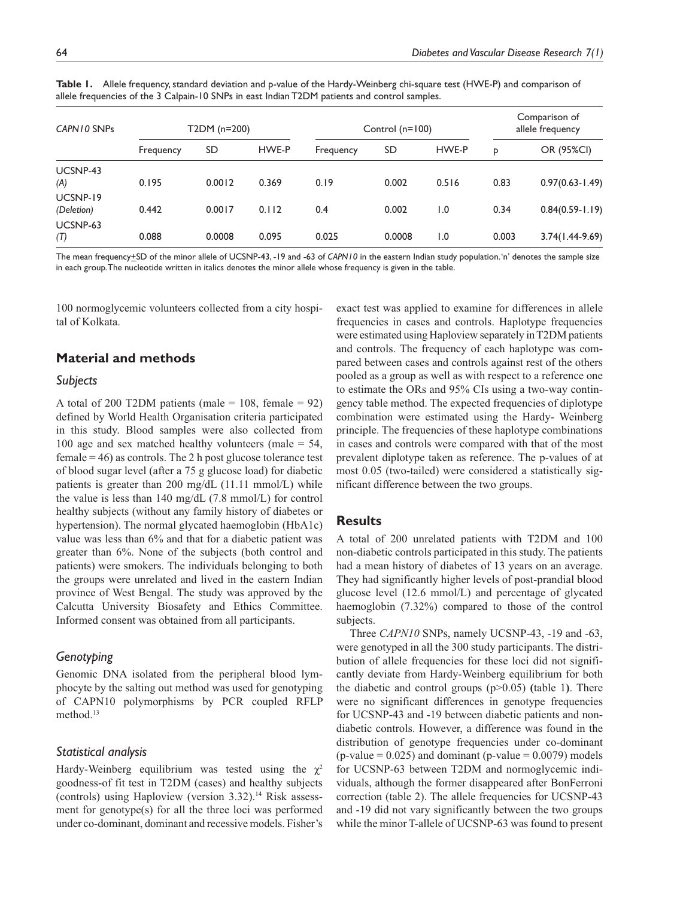| CAPN10 SNPs            | T2DM (n=200) |        |       | Control (n=100) |        |                  | Comparison of<br>allele frequency |                     |
|------------------------|--------------|--------|-------|-----------------|--------|------------------|-----------------------------------|---------------------|
|                        | Frequency    | SD     | HWE-P | Frequency       | SD     | HWE-P            | p                                 | OR (95%CI)          |
| UCSNP-43<br>(A)        | 0.195        | 0.0012 | 0.369 | 0.19            | 0.002  | 0.516            | 0.83                              | $0.97(0.63 - 1.49)$ |
| UCSNP-19<br>(Deletion) | 0.442        | 0.0017 | 0.112 | 0.4             | 0.002  | 1.0              | 0.34                              | $0.84(0.59 - 1.19)$ |
| UCSNP-63<br>(T)        | 0.088        | 0.0008 | 0.095 | 0.025           | 0.0008 | $\overline{1.0}$ | 0.003                             | 3.74(1.44-9.69)     |

**Table 1.** Allele frequency, standard deviation and p-value of the Hardy-Weinberg chi-square test (HWE-P) and comparison of allele frequencies of the 3 Calpain-10 SNPs in east Indian T2DM patients and control samples.

The mean frequency+SD of the minor allele of UCSNP-43, -19 and -63 of *CAPN10* in the eastern Indian study population. 'n' denotes the sample size in each group. The nucleotide written in italics denotes the minor allele whose frequency is given in the table.

100 normoglycemic volunteers collected from a city hospital of Kolkata.

## **Material and methods**

#### *Subjects*

A total of 200 T2DM patients (male  $= 108$ , female  $= 92$ ) defined by World Health Organisation criteria participated in this study. Blood samples were also collected from 100 age and sex matched healthy volunteers (male  $=$  54,  $female = 46$ ) as controls. The 2 h post glucose tolerance test of blood sugar level (after a 75 g glucose load) for diabetic patients is greater than 200 mg/dL (11.11 mmol/L) while the value is less than 140 mg/dL (7.8 mmol/L) for control healthy subjects (without any family history of diabetes or hypertension). The normal glycated haemoglobin (HbA1c) value was less than 6% and that for a diabetic patient was greater than 6%. None of the subjects (both control and patients) were smokers. The individuals belonging to both the groups were unrelated and lived in the eastern Indian province of West Bengal. The study was approved by the Calcutta University Biosafety and Ethics Committee. Informed consent was obtained from all participants.

### *Genotyping*

Genomic DNA isolated from the peripheral blood lymphocyte by the salting out method was used for genotyping of CAPN10 polymorphisms by PCR coupled RFLP method.<sup>13</sup>

### *Statistical analysis*

Hardy-Weinberg equilibrium was tested using the  $\chi^2$ goodness-of fit test in T2DM (cases) and healthy subjects (controls) using Haploview (version 3.32).14 Risk assessment for genotype(s) for all the three loci was performed under co-dominant, dominant and recessive models. Fisher's exact test was applied to examine for differences in allele frequencies in cases and controls. Haplotype frequencies were estimated using Haploview separately in T2DM patients and controls. The frequency of each haplotype was compared between cases and controls against rest of the others pooled as a group as well as with respect to a reference one to estimate the ORs and 95% CIs using a two-way contingency table method. The expected frequencies of diplotype combination were estimated using the Hardy- Weinberg principle. The frequencies of these haplotype combinations in cases and controls were compared with that of the most prevalent diplotype taken as reference. The p*-*values of at most 0.05 (two-tailed) were considered a statistically significant difference between the two groups.

## **Results**

A total of 200 unrelated patients with T2DM and 100 non-diabetic controls participated in this study. The patients had a mean history of diabetes of 13 years on an average. They had significantly higher levels of post-prandial blood glucose level (12.6 mmol/L) and percentage of glycated haemoglobin (7.32%) compared to those of the control subjects.

Three *CAPN10* SNPs, namely UCSNP-43, -19 and -63, were genotyped in all the 300 study participants. The distribution of allele frequencies for these loci did not significantly deviate from Hardy-Weinberg equilibrium for both the diabetic and control groups (p>0.05) **(**table 1**)**. There were no significant differences in genotype frequencies for UCSNP-43 and -19 between diabetic patients and nondiabetic controls. However, a difference was found in the distribution of genotype frequencies under co-dominant  $(p$ -value = 0.025) and dominant  $(p$ -value = 0.0079) models for UCSNP-63 between T2DM and normoglycemic individuals, although the former disappeared after BonFerroni correction (table 2). The allele frequencies for UCSNP-43 and -19 did not vary significantly between the two groups while the minor T-allele of UCSNP-63 was found to present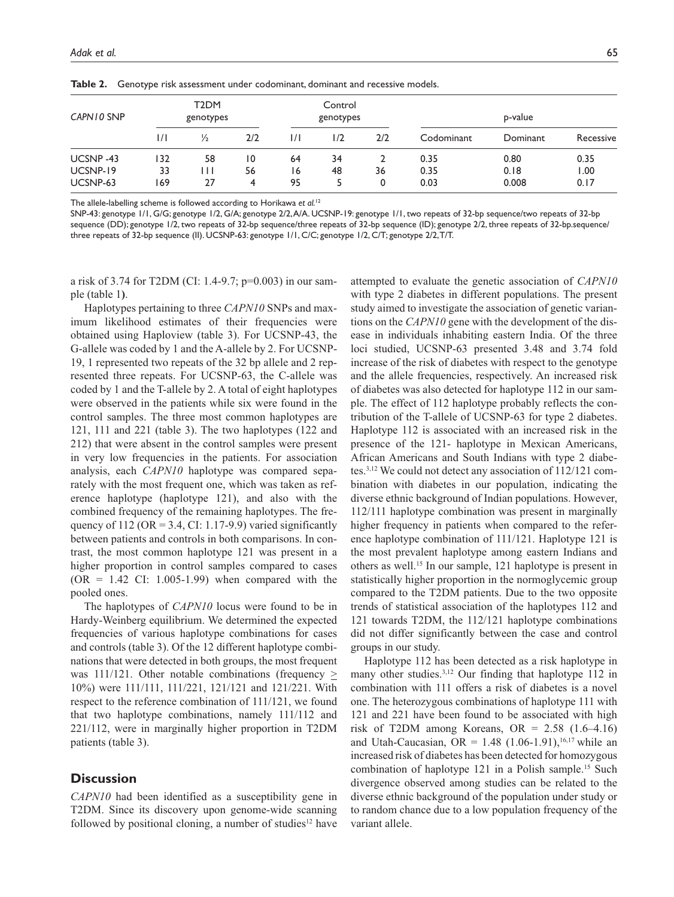| CAPN 10 SNP                      | T <sub>2</sub> DM<br>genotypes |                   |               | Control<br>genotypes |          |         | p-value              |                       |                      |
|----------------------------------|--------------------------------|-------------------|---------------|----------------------|----------|---------|----------------------|-----------------------|----------------------|
|                                  | $\frac{1}{1}$                  | $\frac{1}{2}$     | 2/2           | 1/1                  | 1/2      | 2/2     | Codominant           | Dominant              | Recessive            |
| UCSNP-43<br>UCSNP-19<br>UCSNP-63 | 132<br>33<br>169               | 58<br>1 I I<br>27 | 10<br>56<br>4 | 64<br>16<br>95       | 34<br>48 | 36<br>0 | 0.35<br>0.35<br>0.03 | 0.80<br>0.18<br>0.008 | 0.35<br>1.00<br>0.17 |

**Table 2.** Genotype risk assessment under codominant, dominant and recessive models.

The allele-labelling scheme is followed according to Horikawa *et al.*<sup>12</sup>

SNP-43: genotype 1/1, G/G; genotype 1/2, G/A; genotype 2/2, A/A. UCSNP-19: genotype 1/1, two repeats of 32-bp sequence/two repeats of 32-bp sequence (DD); genotype 1/2, two repeats of 32-bp sequence/three repeats of 32-bp sequence (ID); genotype 2/2, three repeats of 32-bp.sequence/ three repeats of 32-bp sequence (II). UCSNP-63: genotype 1/1, C/C; genotype 1/2, C/T; genotype 2/2, T/T.

a risk of 3.74 for T2DM (CI: 1.4-9.7; p=0.003) in our sample (table 1**)**.

Haplotypes pertaining to three *CAPN10* SNPs and maximum likelihood estimates of their frequencies were obtained using Haploview (table 3). For UCSNP-43, the G-allele was coded by 1 and the A-allele by 2. For UCSNP-19, 1 represented two repeats of the 32 bp allele and 2 represented three repeats. For UCSNP-63, the C-allele was coded by 1 and the T-allele by 2. A total of eight haplotypes were observed in the patients while six were found in the control samples. The three most common haplotypes are 121, 111 and 221 (table 3). The two haplotypes (122 and 212) that were absent in the control samples were present in very low frequencies in the patients. For association analysis, each *CAPN10* haplotype was compared separately with the most frequent one, which was taken as reference haplotype (haplotype 121), and also with the combined frequency of the remaining haplotypes. The frequency of 112 ( $OR = 3.4$ ,  $CI: 1.17-9.9$ ) varied significantly between patients and controls in both comparisons. In contrast, the most common haplotype 121 was present in a higher proportion in control samples compared to cases  $(OR = 1.42 \text{ CI}: 1.005-1.99)$  when compared with the pooled ones.

The haplotypes of *CAPN10* locus were found to be in Hardy-Weinberg equilibrium. We determined the expected frequencies of various haplotype combinations for cases and controls (table 3). Of the 12 different haplotype combinations that were detected in both groups, the most frequent was 111/121. Other notable combinations (frequency  $\geq$ 10%) were 111/111, 111/221, 121/121 and 121/221. With respect to the reference combination of 111/121, we found that two haplotype combinations, namely 111/112 and 221/112, were in marginally higher proportion in T2DM patients (table 3).

### **Discussion**

*CAPN10* had been identified as a susceptibility gene in T2DM. Since its discovery upon genome-wide scanning followed by positional cloning, a number of studies $12$  have

attempted to evaluate the genetic association of *CAPN10* with type 2 diabetes in different populations. The present study aimed to investigate the association of genetic variantions on the *CAPN10* gene with the development of the disease in individuals inhabiting eastern India. Of the three loci studied, UCSNP-63 presented 3.48 and 3.74 fold increase of the risk of diabetes with respect to the genotype and the allele frequencies, respectively. An increased risk of diabetes was also detected for haplotype 112 in our sample. The effect of 112 haplotype probably reflects the contribution of the T-allele of UCSNP-63 for type 2 diabetes. Haplotype 112 is associated with an increased risk in the presence of the 121- haplotype in Mexican Americans, African Americans and South Indians with type 2 diabetes.3,12 We could not detect any association of 112/121 combination with diabetes in our population, indicating the diverse ethnic background of Indian populations. However, 112/111 haplotype combination was present in marginally higher frequency in patients when compared to the reference haplotype combination of 111/121. Haplotype 121 is the most prevalent haplotype among eastern Indians and others as well.15 In our sample, 121 haplotype is present in statistically higher proportion in the normoglycemic group compared to the T2DM patients. Due to the two opposite trends of statistical association of the haplotypes 112 and 121 towards T2DM, the 112/121 haplotype combinations did not differ significantly between the case and control groups in our study.

Haplotype 112 has been detected as a risk haplotype in many other studies.<sup>3,12</sup> Our finding that haplotype 112 in combination with 111 offers a risk of diabetes is a novel one. The heterozygous combinations of haplotype 111 with 121 and 221 have been found to be associated with high risk of T2DM among Koreans, OR =  $2.58$  (1.6–4.16) and Utah-Caucasian, OR =  $1.48$  (1.06-1.91),<sup>16,17</sup> while an increased risk of diabetes has been detected for homozygous combination of haplotype 121 in a Polish sample.15 Such divergence observed among studies can be related to the diverse ethnic background of the population under study or to random chance due to a low population frequency of the variant allele.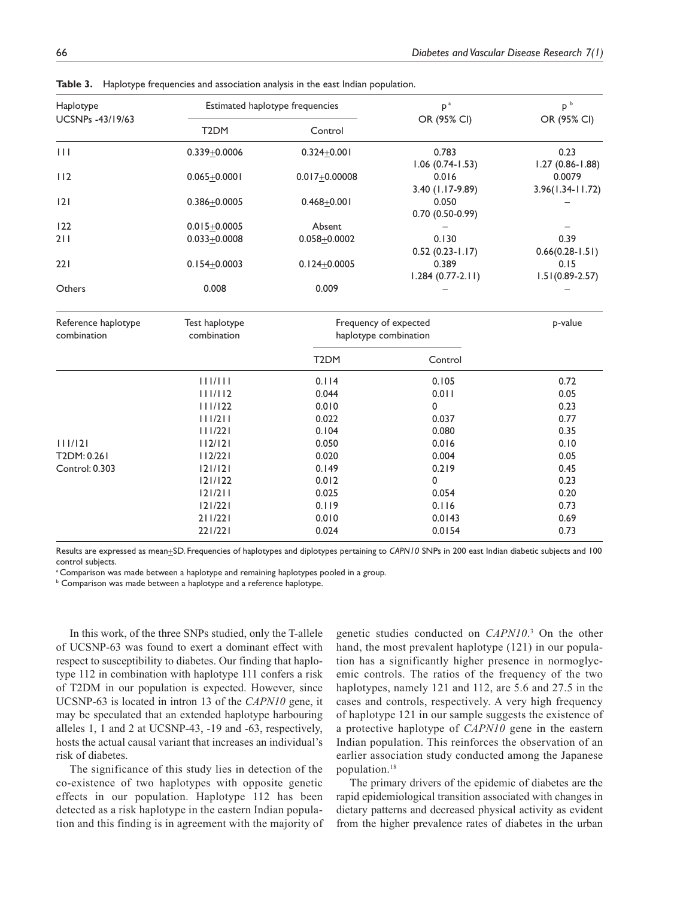|                                      |                    | sie stern in proc/politicalistics and association analysis in the case maiding population. |                       |                               |  |
|--------------------------------------|--------------------|--------------------------------------------------------------------------------------------|-----------------------|-------------------------------|--|
| Haplotype<br><b>UCSNPs -43/19/63</b> |                    | Estimated haplotype frequencies                                                            | $p^a$<br>OR (95% CI)  | p <sup>b</sup><br>OR (95% CI) |  |
|                                      | T <sub>2</sub> DM  | Control                                                                                    |                       |                               |  |
| $\vert \vert \vert$                  | $0.339 + 0.0006$   | $0.324 + 0.001$                                                                            | 0.783                 | 0.23                          |  |
|                                      |                    |                                                                                            | $1.06$ (0.74-1.53)    | $1.27(0.86 - 1.88)$           |  |
| 112                                  | $0.065 + 0.0001$   | $0.017 + 0.00008$                                                                          | 0.016                 | 0.0079                        |  |
|                                      |                    |                                                                                            | 3.40 (1.17-9.89)      | 3.96(1.34-11.72)              |  |
| 2                                    | $0.386 + 0.0005$   | $0.468 + 0.001$                                                                            | 0.050                 |                               |  |
|                                      |                    |                                                                                            | $0.70(0.50-0.99)$     |                               |  |
| 122                                  | $0.015 + 0.0005$   | Absent                                                                                     |                       |                               |  |
| 211                                  | $0.033 + 0.0008$   | $0.058 + 0.0002$                                                                           | 0.130                 | 0.39                          |  |
|                                      |                    |                                                                                            | $0.52(0.23-1.17)$     | $0.66(0.28-1.51)$             |  |
| 221                                  | $0.154 \pm 0.0003$ | $0.124 + 0.0005$                                                                           | 0.389                 | 0.15                          |  |
|                                      |                    |                                                                                            | $1.284(0.77-2.11)$    | $1.51(0.89 - 2.57)$           |  |
| Others                               | 0.008              | 0.009                                                                                      |                       |                               |  |
| Reference haplotype                  | Test haplotype     |                                                                                            | Frequency of expected | p-value                       |  |
| combination                          | combination        | haplotype combination                                                                      |                       |                               |  |
|                                      |                    | T <sub>2</sub> DM                                                                          | Control               |                               |  |
|                                      | 111/111            | 0.114                                                                                      | 0.105                 | 0.72                          |  |
|                                      | 111/112            | 0.044                                                                                      | 0.011                 | 0.05                          |  |
|                                      | 111/122            | 0.010                                                                                      | 0                     | 0.23                          |  |
|                                      | 111/211            | 0.022                                                                                      | 0.037                 | 0.77                          |  |
|                                      | 111/221            | 0.104                                                                                      | 0.080                 | 0.35                          |  |
| 111/121                              | 112/121            | 0.050                                                                                      | 0.016                 | 0.10                          |  |
| T2DM: 0.261                          | 112/221            | 0.020                                                                                      | 0.004                 | 0.05                          |  |
| Control: 0.303                       | 121/121            | 0.149                                                                                      | 0.219                 | 0.45                          |  |
|                                      | 121/122            | 0.012                                                                                      | 0                     | 0.23                          |  |

**Table 3.** Haplotype frequencies and association analysis in the east Indian population.

Results are expressed as mean+SD. Frequencies of haplotypes and diplotypes pertaining to *CAPN10* SNPs in 200 east Indian diabetic subjects and 100 control subjects.

121/211 0.025 0.054 0.20 121/221 0.119 0.116 0.73 211/221 0.010 0.0143 0.69 221/221 0.024 0.0154 0.73

<sup>a</sup> Comparison was made between a haplotype and remaining haplotypes pooled in a group.

 $^{\circ}$  Comparison was made between a haplotype and a reference haplotype.

In this work, of the three SNPs studied, only the T-allele of UCSNP-63 was found to exert a dominant effect with respect to susceptibility to diabetes. Our finding that haplotype 112 in combination with haplotype 111 confers a risk of T2DM in our population is expected. However, since UCSNP-63 is located in intron 13 of the *CAPN10* gene, it may be speculated that an extended haplotype harbouring alleles 1, 1 and 2 at UCSNP-43, -19 and -63, respectively, hosts the actual causal variant that increases an individual's risk of diabetes.

The significance of this study lies in detection of the co-existence of two haplotypes with opposite genetic effects in our population. Haplotype 112 has been detected as a risk haplotype in the eastern Indian population and this finding is in agreement with the majority of

genetic studies conducted on *CAPN10*. 3 On the other hand, the most prevalent haplotype (121) in our population has a significantly higher presence in normoglycemic controls. The ratios of the frequency of the two haplotypes, namely 121 and 112, are 5.6 and 27.5 in the cases and controls, respectively. A very high frequency of haplotype 121 in our sample suggests the existence of a protective haplotype of *CAPN10* gene in the eastern Indian population. This reinforces the observation of an earlier association study conducted among the Japanese population.18

The primary drivers of the epidemic of diabetes are the rapid epidemiological transition associated with changes in dietary patterns and decreased physical activity as evident from the higher prevalence rates of diabetes in the urban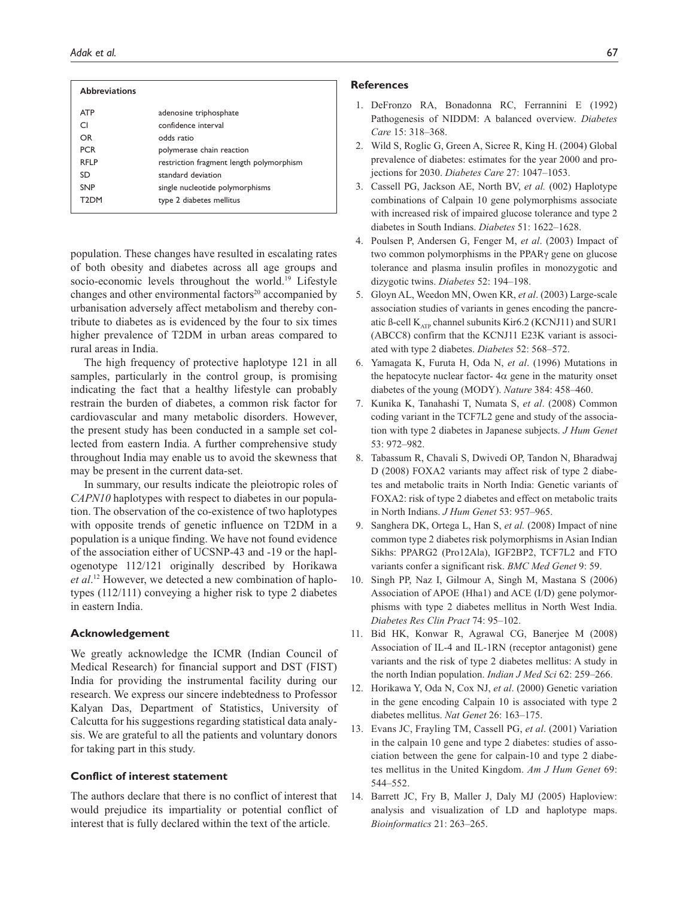#### *Adak et al.* 67

| <b>Abbreviations</b> |                                          |
|----------------------|------------------------------------------|
| <b>ATP</b>           | adenosine triphosphate                   |
| CI.                  | confidence interval                      |
| OR                   | odds ratio                               |
| <b>PCR</b>           | polymerase chain reaction                |
| <b>RFIP</b>          | restriction fragment length polymorphism |
| SD.                  | standard deviation                       |
| <b>SNP</b>           | single nucleotide polymorphisms          |
| T2DM                 | type 2 diabetes mellitus                 |
|                      |                                          |

population. These changes have resulted in escalating rates of both obesity and diabetes across all age groups and socio-economic levels throughout the world.<sup>19</sup> Lifestyle changes and other environmental factors $20$  accompanied by urbanisation adversely affect metabolism and thereby contribute to diabetes as is evidenced by the four to six times higher prevalence of T2DM in urban areas compared to rural areas in India.

The high frequency of protective haplotype 121 in all samples, particularly in the control group, is promising indicating the fact that a healthy lifestyle can probably restrain the burden of diabetes, a common risk factor for cardiovascular and many metabolic disorders. However, the present study has been conducted in a sample set collected from eastern India. A further comprehensive study throughout India may enable us to avoid the skewness that may be present in the current data-set.

In summary, our results indicate the pleiotropic roles of *CAPN10* haplotypes with respect to diabetes in our population. The observation of the co-existence of two haplotypes with opposite trends of genetic influence on T2DM in a population is a unique finding. We have not found evidence of the association either of UCSNP-43 and -19 or the haplogenotype 112/121 originally described by Horikawa *et al*. 12 However, we detected a new combination of haplotypes (112/111) conveying a higher risk to type 2 diabetes in eastern India.

#### **Acknowledgement**

We greatly acknowledge the ICMR (Indian Council of Medical Research) for financial support and DST (FIST) India for providing the instrumental facility during our research. We express our sincere indebtedness to Professor Kalyan Das, Department of Statistics, University of Calcutta for his suggestions regarding statistical data analysis. We are grateful to all the patients and voluntary donors for taking part in this study.

#### **Conflict of interest statement**

The authors declare that there is no conflict of interest that would prejudice its impartiality or potential conflict of interest that is fully declared within the text of the article.

#### **References**

- 1. DeFronzo RA, Bonadonna RC, Ferrannini E (1992) Pathogenesis of NIDDM: A balanced overview. *Diabetes Care* 15: 318–368.
- 2. Wild S, Roglic G, Green A, Sicree R, King H. (2004) Global prevalence of diabetes: estimates for the year 2000 and projections for 2030. *Diabetes Care* 27: 1047–1053.
- 3. Cassell PG, Jackson AE, North BV, *et al.* (002) Haplotype combinations of Calpain 10 gene polymorphisms associate with increased risk of impaired glucose tolerance and type 2 diabetes in South Indians. *Diabetes* 51: 1622–1628.
- 4. Poulsen P, Andersen G, Fenger M, *et al*. (2003) Impact of two common polymorphisms in the PPARγ gene on glucose tolerance and plasma insulin profiles in monozygotic and dizygotic twins. *Diabetes* 52: 194–198.
- 5. Gloyn AL, Weedon MN, Owen KR, *et al*. (2003) Large-scale association studies of variants in genes encoding the pancreatic ß-cell  $K_{ATP}$  channel subunits Kir6.2 (KCNJ11) and SUR1 (ABCC8) confirm that the KCNJ11 E23K variant is associated with type 2 diabetes. *Diabetes* 52: 568–572.
- 6. Yamagata K, Furuta H, Oda N, *et al*. (1996) Mutations in the hepatocyte nuclear factor- $4\alpha$  gene in the maturity onset diabetes of the young (MODY). *Nature* 384: 458–460.
- 7. Kunika K, Tanahashi T, Numata S, *et al*. (2008) Common coding variant in the TCF7L2 gene and study of the association with type 2 diabetes in Japanese subjects. *J Hum Genet* 53: 972–982.
- 8. Tabassum R, Chavali S, Dwivedi OP, Tandon N, Bharadwaj D (2008) FOXA2 variants may affect risk of type 2 diabetes and metabolic traits in North India: Genetic variants of FOXA2: risk of type 2 diabetes and effect on metabolic traits in North Indians. *J Hum Genet* 53: 957–965.
- 9. Sanghera DK, Ortega L, Han S, *et al.* (2008) Impact of nine common type 2 diabetes risk polymorphisms in Asian Indian Sikhs: PPARG2 (Pro12Ala), IGF2BP2, TCF7L2 and FTO variants confer a significant risk. *BMC Med Genet* 9: 59.
- 10. Singh PP, Naz I, Gilmour A, Singh M, Mastana S (2006) Association of APOE (Hha1) and ACE (I/D) gene polymorphisms with type 2 diabetes mellitus in North West India. *Diabetes Res Clin Pract* 74: 95–102.
- 11. Bid HK, Konwar R, Agrawal CG, Banerjee M (2008) Association of IL-4 and IL-1RN (receptor antagonist) gene variants and the risk of type 2 diabetes mellitus: A study in the north Indian population. *Indian J Med Sci* 62: 259–266.
- 12. Horikawa Y, Oda N, Cox NJ, *et al*. (2000) Genetic variation in the gene encoding Calpain 10 is associated with type 2 diabetes mellitus. *Nat Genet* 26: 163–175.
- 13. Evans JC, Frayling TM, Cassell PG, *et al*. (2001) Variation in the calpain 10 gene and type 2 diabetes: studies of association between the gene for calpain-10 and type 2 diabetes mellitus in the United Kingdom. *Am J Hum Genet* 69: 544–552.
- 14. Barrett JC, Fry B, Maller J, Daly MJ (2005) Haploview: analysis and visualization of LD and haplotype maps. *Bioinformatics* 21: 263–265.